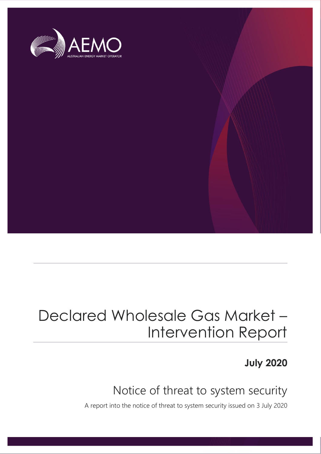

## Declared Wholesale Gas Market – Intervention Report

**July 2020**

## Notice of threat to system security

A report into the notice of threat to system security issued on 3 July 2020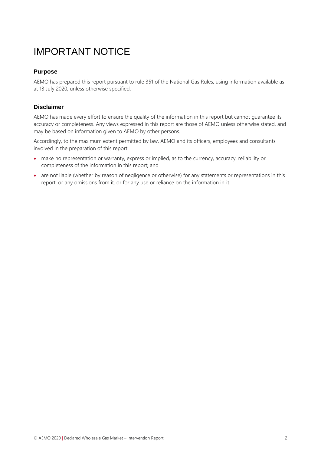### IMPORTANT NOTICE

#### **Purpose**

AEMO has prepared this report pursuant to rule 351 of the National Gas Rules, using information available as at 13 July 2020, unless otherwise specified.

#### **Disclaimer**

AEMO has made every effort to ensure the quality of the information in this report but cannot guarantee its accuracy or completeness. Any views expressed in this report are those of AEMO unless otherwise stated, and may be based on information given to AEMO by other persons.

Accordingly, to the maximum extent permitted by law, AEMO and its officers, employees and consultants involved in the preparation of this report:

- make no representation or warranty, express or implied, as to the currency, accuracy, reliability or completeness of the information in this report; and
- are not liable (whether by reason of negligence or otherwise) for any statements or representations in this report, or any omissions from it, or for any use or reliance on the information in it.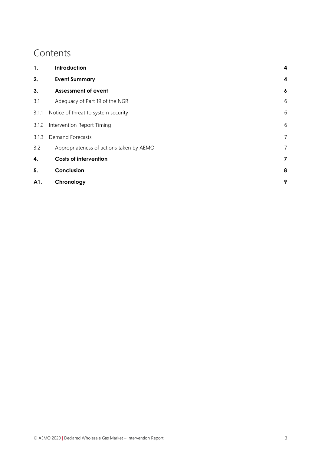### **Contents**

| 1.    | Introduction                             |   |
|-------|------------------------------------------|---|
| 2.    | <b>Event Summary</b>                     | 4 |
| 3.    | <b>Assessment of event</b>               | 6 |
| 3.1   | Adequacy of Part 19 of the NGR           | 6 |
| 3.1.1 | Notice of threat to system security      | 6 |
| 3.1.2 | Intervention Report Timing               | 6 |
| 3.1.3 | <b>Demand Forecasts</b>                  |   |
| 3.2   | Appropriateness of actions taken by AEMO | 7 |
| 4.    | <b>Costs of intervention</b>             | 7 |
| 5.    | Conclusion                               | 8 |
| A1.   | Chronology                               | 9 |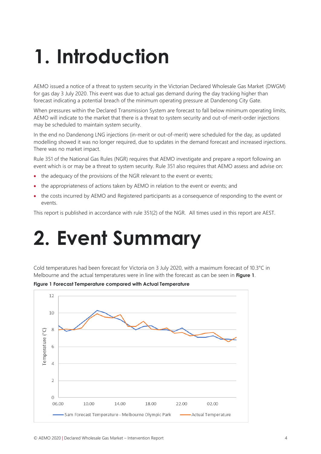# <span id="page-3-0"></span>**1. Introduction**

AEMO issued a notice of a threat to system security in the Victorian Declared Wholesale Gas Market (DWGM) for gas day 3 July 2020. This event was due to actual gas demand during the day tracking higher than forecast indicating a potential breach of the minimum operating pressure at Dandenong City Gate.

When pressures within the Declared Transmission System are forecast to fall below minimum operating limits, AEMO will indicate to the market that there is a threat to system security and out-of-merit-order injections may be scheduled to maintain system security.

In the end no Dandenong LNG injections (in-merit or out-of-merit) were scheduled for the day, as updated modelling showed it was no longer required, due to updates in the demand forecast and increased injections. There was no market impact.

Rule 351 of the National Gas Rules (NGR) requires that AEMO investigate and prepare a report following an event which is or may be a threat to system security. Rule 351 also requires that AEMO assess and advise on:

- the adequacy of the provisions of the NGR relevant to the event or events;
- the appropriateness of actions taken by AEMO in relation to the event or events; and
- the costs incurred by AEMO and Registered participants as a consequence of responding to the event or events.

This report is published in accordance with rule 351(2) of the NGR. All times used in this report are AEST.

# <span id="page-3-1"></span>**2. Event Summary**

Cold temperatures had been forecast for Victoria on 3 July 2020, with a maximum forecast of 10.3°C in Melbourne and the actual temperatures were in line with the forecast as can be seen in **[Figure 1](#page-3-2)**.

<span id="page-3-2"></span>**Figure 1 Forecast Temperature compared with Actual Temperature**

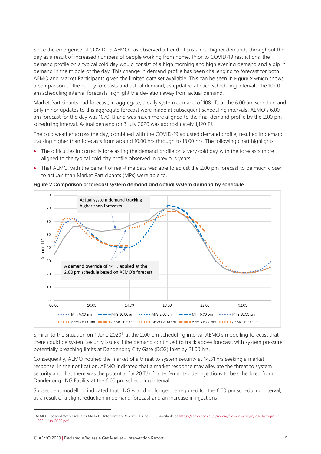Since the emergence of COVID-19 AEMO has observed a trend of sustained higher demands throughout the day as a result of increased numbers of people working from home. Prior to COVID-19 restrictions, the demand profile on a typical cold day would consist of a high morning and high evening demand and a dip in demand in the middle of the day. This change in demand profile has been challenging to forecast for both AEMO and Market Participants given the limited data set available. This can be seen in **[Figure](#page-4-0) 2** which shows a comparison of the hourly forecasts and actual demand, as updated at each scheduling interval. The 10.00 am scheduling interval forecasts highlight the deviation away from actual demand.

Market Participants had forecast, in aggregate, a daily system demand of 1081 TJ at the 6.00 am schedule and only minor updates to this aggregate forecast were made at subsequent scheduling intervals. AEMO's 6.00 am forecast for the day was 1070 TJ and was much more aligned to the final demand profile by the 2.00 pm scheduling interval. Actual demand on 3 July 2020 was approximately 1,120 TJ.

The cold weather across the day, combined with the COVID-19 adjusted demand profile, resulted in demand tracking higher than forecasts from around 10.00 hrs through to 18.00 hrs. The following chart highlights:

- The difficulties in correctly forecasting the demand profile on a very cold day with the forecasts more aligned to the typical cold day profile observed in previous years.
- That AEMO, with the benefit of real-time data was able to adjust the 2.00 pm forecast to be much closer to actuals than Market Participants (MPs) were able to.



<span id="page-4-0"></span>**Figure 2 Comparison of forecast system demand and actual system demand by schedule**

Similar to the situation on 1 June 2020<sup>1</sup>, at the 2.00 pm scheduling interval AEMO's modelling forecast that there could be system security issues if the demand continued to track above forecast, with system pressure potentially breaching limits at Dandenong City Gate (DCG) Inlet by 21.00 hrs.

Consequently, AEMO notified the market of a threat to system security at 14.31 hrs seeking a market response. In the notification, AEMO indicated that a market response may alleviate the threat to system security and that there was the potential for 20 TJ of out-of-merit-order injections to be scheduled from Dandenong LNG Facility at the 6.00 pm scheduling interval.

Subsequent modelling indicated that LNG would no longer be required for the 6.00 pm scheduling interval, as a result of a slight reduction in demand forecast and an increase in injections.

<sup>1</sup> AEMO. Declared Wholesale Gas Market – Intervention Report – 1 June 2020. Available a[t https://aemo.com.au/-/media/files/gas/dwgm/2020/dwgm-er-20-](https://aemo.com.au/-/media/files/gas/dwgm/2020/dwgm-er-20-002-1-jun-2020.pdf) [002-1-jun-2020.pdf](https://aemo.com.au/-/media/files/gas/dwgm/2020/dwgm-er-20-002-1-jun-2020.pdf)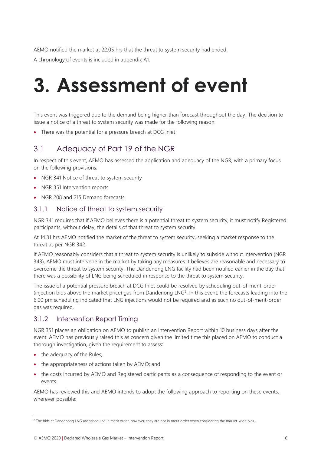AEMO notified the market at 22.05 hrs that the threat to system security had ended.

A chronology of events is included in appendix [A1.](#page-8-0)

# <span id="page-5-0"></span>**3. Assessment of event**

This event was triggered due to the demand being higher than forecast throughout the day. The decision to issue a notice of a threat to system security was made for the following reason:

• There was the potential for a pressure breach at DCG Inlet

### <span id="page-5-1"></span>3.1 Adequacy of Part 19 of the NGR

In respect of this event, AEMO has assessed the application and adequacy of the NGR, with a primary focus on the following provisions:

- NGR 341 Notice of threat to system security
- NGR 351 Intervention reports
- NGR 208 and 215 Demand forecasts

### <span id="page-5-2"></span>3.1.1 Notice of threat to system security

NGR 341 requires that if AEMO believes there is a potential threat to system security, it must notify Registered participants, without delay, the details of that threat to system security.

At 14.31 hrs AEMO notified the market of the threat to system security, seeking a market response to the threat as per NGR 342.

If AEMO reasonably considers that a threat to system security is unlikely to subside without intervention (NGR 343), AEMO must intervene in the market by taking any measures it believes are reasonable and necessary to overcome the threat to system security. The Dandenong LNG facility had been notified earlier in the day that there was a possibility of LNG being scheduled in response to the threat to system security.

The issue of a potential pressure breach at DCG Inlet could be resolved by scheduling out-of-merit-order (injection bids above the market price) gas from Dandenong  $LNG<sup>2</sup>$ . In this event, the forecasts leading into the 6.00 pm scheduling indicated that LNG injections would not be required and as such no out-of-merit-order gas was required.

### <span id="page-5-3"></span>3.1.2 Intervention Report Timing

NGR 351 places an obligation on AEMO to publish an Intervention Report within 10 business days after the event. AEMO has previously raised this as concern given the limited time this placed on AEMO to conduct a thorough investigation, given the requirement to assess:

- the adequacy of the Rules;
- the appropriateness of actions taken by AEMO; and
- the costs incurred by AEMO and Registered participants as a consequence of responding to the event or events.

AEMO has reviewed this and AEMO intends to adopt the following approach to reporting on these events, wherever possible:

<sup>&</sup>lt;sup>2</sup> The bids at Dandenong LNG are scheduled in merit order, however, they are not in merit order when considering the market-wide bids.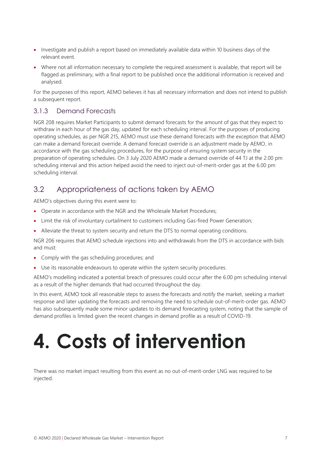- Investigate and publish a report based on immediately available data within 10 business days of the relevant event.
- Where not all information necessary to complete the required assessment is available, that report will be flagged as preliminary, with a final report to be published once the additional information is received and analysed.

For the purposes of this report, AEMO believes it has all necessary information and does not intend to publish a subsequent report.

### <span id="page-6-0"></span>3.1.3 Demand Forecasts

NGR 208 requires Market Participants to submit demand forecasts for the amount of gas that they expect to withdraw in each hour of the gas day, updated for each scheduling interval. For the purposes of producing operating schedules, as per NGR 215, AEMO must use these demand forecasts with the exception that AEMO can make a demand forecast override. A demand forecast override is an adjustment made by AEMO, in accordance with the gas scheduling procedures, for the purpose of ensuring system security in the preparation of operating schedules. On 3 July 2020 AEMO made a demand override of 44 TJ at the 2.00 pm scheduling interval and this action helped avoid the need to inject out-of-merit-order gas at the 6.00 pm scheduling interval.

### <span id="page-6-1"></span>3.2 Appropriateness of actions taken by AEMO

AEMO's objectives during this event were to:

- Operate in accordance with the NGR and the Wholesale Market Procedures;
- Limit the risk of involuntary curtailment to customers including Gas-fired Power Generation;
- Alleviate the threat to system security and return the DTS to normal operating conditions.

NGR 206 requires that AEMO schedule injections into and withdrawals from the DTS in accordance with bids and must:

- Comply with the gas scheduling procedures; and
- Use its reasonable endeavours to operate within the system security procedures.

AEMO's modelling indicated a potential breach of pressures could occur after the 6.00 pm scheduling interval as a result of the higher demands that had occurred throughout the day.

In this event, AEMO took all reasonable steps to assess the forecasts and notify the market, seeking a market response and later updating the forecasts and removing the need to schedule out-of-merit-order gas. AEMO has also subsequently made some minor updates to its demand forecasting system, noting that the sample of demand profiles is limited given the recent changes in demand profile as a result of COVID-19.

# <span id="page-6-2"></span>**4. Costs of intervention**

There was no market impact resulting from this event as no out-of-merit-order LNG was required to be injected.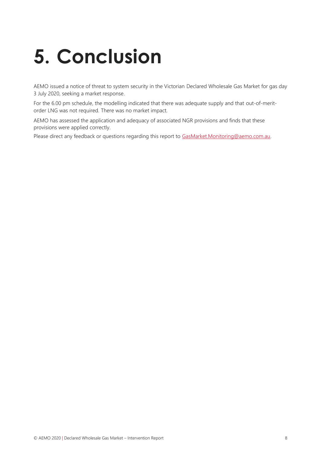# <span id="page-7-0"></span>**5. Conclusion**

AEMO issued a notice of threat to system security in the Victorian Declared Wholesale Gas Market for gas day 3 July 2020, seeking a market response.

For the 6.00 pm schedule, the modelling indicated that there was adequate supply and that out-of-meritorder LNG was not required. There was no market impact.

AEMO has assessed the application and adequacy of associated NGR provisions and finds that these provisions were applied correctly.

Please direct any feedback or questions regarding this report to [GasMarket.Monitoring@aemo.com.au.](mailto:GasMarket.Monitoring@aemo.com.au)